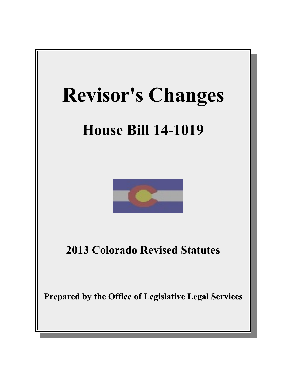

# **House Bill 14-1019**



**2013 Colorado Revised Statutes**

**Prepared by the Office of Legislative Legal Services**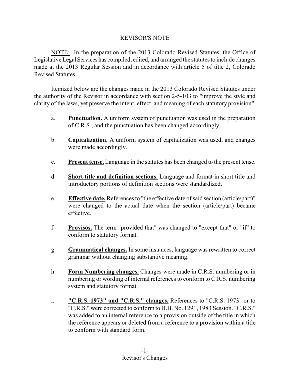# REVISOR'S NOTE

NOTE: In the preparation of the 2013 Colorado Revised Statutes, the Office of Legislative Legal Services has compiled, edited, and arranged the statutes to include changes made at the 2013 Regular Session and in accordance with article 5 of title 2, Colorado Revised Statutes.

Itemized below are the changes made in the 2013 Colorado Revised Statutes under the authority of the Revisor in accordance with section 2-5-103 to "improve the style and clarity of the laws, yet preserve the intent, effect, and meaning of each statutory provision".

- a. **Punctuation.** A uniform system of punctuation was used in the preparation of C.R.S., and the punctuation has been changed accordingly.
- b. **Capitalization.** A uniform system of capitalization was used, and changes were made accordingly.
- c. **Present tense.** Language in the statutes has been changed to the present tense.
- d. **Short title and definition sections.** Language and format in short title and introductory portions of definition sections were standardized.
- e. **Effective date.** References to "the effective date of said section (article/part)" were changed to the actual date when the section (article/part) became effective.
- f. **Provisos.** The term "provided that" was changed to "except that" or "if" to conform to statutory format.
- g. **Grammatical changes.** In some instances, language was rewritten to correct grammar without changing substantive meaning.
- h. **Form Numbering changes.** Changes were made in C.R.S. numbering or in numbering or wording of internal references to conform to C.R.S. numbering system and statutory format.
- i. **"C.R.S. 1973" and "C.R.S." changes.** References to "C.R.S. 1973" or to "C.R.S." were corrected to conform to H.B. No. 1291, 1983 Session. "C.R.S." was added to an internal reference to a provision outside of the title in which the reference appears or deleted from a reference to a provision within a title to conform with standard form.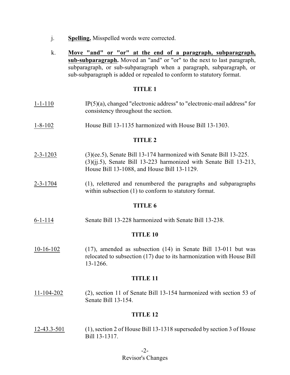- j. **Spelling.** Misspelled words were corrected.
- k. **Move "and" or "or" at the end of a paragraph, subparagraph, sub-subparagraph.** Moved an "and" or "or" to the next to last paragraph, subparagraph, or sub-subparagraph when a paragraph, subparagraph, or sub-subparagraph is added or repealed to conform to statutory format.

- 1-1-110 IP(5)(a), changed "electronic address" to "electronic-mail address" for consistency throughout the section.
- 1-8-102 House Bill 13-1135 harmonized with House Bill 13-1303.

#### **TITLE 2**

- 2-3-1203 (3)(ee.5), Senate Bill 13-174 harmonized with Senate Bill 13-225. (3)(jj.5), Senate Bill 13-223 harmonized with Senate Bill 13-213, House Bill 13-1088, and House Bill 13-1129.
- 2-3-1704 (1), relettered and renumbered the paragraphs and subparagraphs within subsection (1) to conform to statutory format.

#### **TITLE 6**

6-1-114 Senate Bill 13-228 harmonized with Senate Bill 13-238.

#### **TITLE 10**

10-16-102 (17), amended as subsection (14) in Senate Bill 13-011 but was relocated to subsection (17) due to its harmonization with House Bill 13-1266.

#### **TITLE 11**

11-104-202 (2), section 11 of Senate Bill 13-154 harmonized with section 53 of Senate Bill 13-154.

#### **TITLE 12**

12-43.3-501 (1), section 2 of House Bill 13-1318 superseded by section 3 of House Bill 13-1317.

-2-

## Revisor's Changes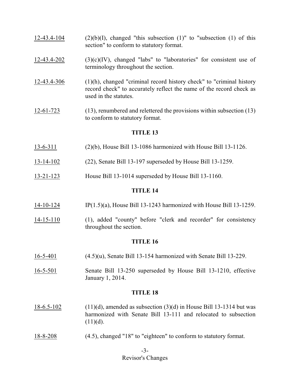- $12-43.4-104$  (2)(b)(I), changed "this subsection (1)" to "subsection (1) of this section" to conform to statutory format.
- $12-43.4-202$  (3)(c)(IV), changed "labs" to "laboratories" for consistent use of terminology throughout the section.
- 12-43.4-306 (1)(h), changed "criminal record history check" to "criminal history record check" to accurately reflect the name of the record check as used in the statutes.
- 12-61-723 (13), renumbered and relettered the provisions within subsection (13) to conform to statutory format.

- 13-6-311 (2)(b), House Bill 13-1086 harmonized with House Bill 13-1126.
- 13-14-102 (22), Senate Bill 13-197 superseded by House Bill 13-1259.
- 13-21-123 House Bill 13-1014 superseded by House Bill 13-1160.

## **TITLE 14**

- 14-10-124 IP(1.5)(a), House Bill 13-1243 harmonized with House Bill 13-1259.
- 14-15-110 (1), added "county" before "clerk and recorder" for consistency throughout the section.

## **TITLE 16**

- 16-5-401 (4.5)(u), Senate Bill 13-154 harmonized with Senate Bill 13-229.
- 16-5-501 Senate Bill 13-250 superseded by House Bill 13-1210, effective January 1, 2014.

- $18-6.5-102$  (11)(d), amended as subsection (3)(d) in House Bill 13-1314 but was harmonized with Senate Bill 13-111 and relocated to subsection  $(11)(d)$ .
- 18-8-208 (4.5), changed "18" to "eighteen" to conform to statutory format.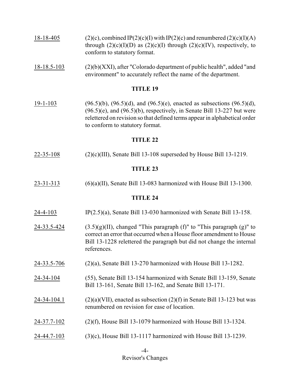| $18 - 18 - 405$ | $(2)(c)$ , combined IP(2)(c)(I) with IP(2)(c) and renumbered (2)(c)(I)(A)     |
|-----------------|-------------------------------------------------------------------------------|
|                 | through $(2)(c)(I)(D)$ as $(2)(c)(I)$ through $(2)(c)(IV)$ , respectively, to |
|                 | conform to statutory format.                                                  |

18-18.5-103 (2)(b)(XXI), after "Colorado department of public health", added "and environment" to accurately reflect the name of the department.

#### **TITLE 19**

19-1-103 (96.5)(b), (96.5)(d), and (96.5)(e), enacted as subsections (96.5)(d),  $(96.5)(e)$ , and  $(96.5)(b)$ , respectively, in Senate Bill 13-227 but were relettered on revision so that defined terms appear in alphabetical order to conform to statutory format.

#### **TITLE 22**

 $22-35-108$  (2)(c)(III), Senate Bill 13-108 superseded by House Bill 13-1219.

## **TITLE 23**

23-31-313 (6)(a)(II), Senate Bill 13-083 harmonized with House Bill 13-1300.

- 24-4-103 IP(2.5)(a), Senate Bill 13-030 harmonized with Senate Bill 13-158.
- 24-33.5-424  $(3.5)(g)(II)$ , changed "This paragraph (f)" to "This paragraph (g)" to correct an error that occurred when a House floor amendment to House Bill 13-1228 relettered the paragraph but did not change the internal references.
- 24-33.5-706 (2)(a), Senate Bill 13-270 harmonized with House Bill 13-1282.
- 24-34-104 (55), Senate Bill 13-154 harmonized with Senate Bill 13-159, Senate Bill 13-161, Senate Bill 13-162, and Senate Bill 13-171.
- 24-34-104.1 (2)(a)(VII), enacted as subsection (2)(f) in Senate Bill 13-123 but was renumbered on revision for ease of location.
- 24-37.7-102 (2)(f), House Bill 13-1079 harmonized with House Bill 13-1324.
- 24-44.7-103 (3)(c), House Bill 13-1117 harmonized with House Bill 13-1239.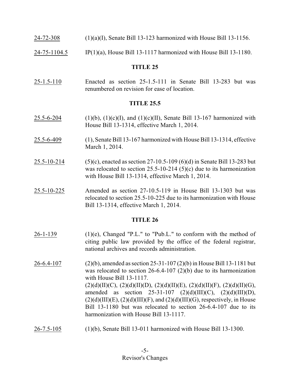- 24-72-308 (1)(a)(I), Senate Bill 13-123 harmonized with House Bill 13-1156.
- 24-75-1104.5 IP(1)(a), House Bill 13-1117 harmonized with House Bill 13-1180.

25-1.5-110 Enacted as section 25-1.5-111 in Senate Bill 13-283 but was renumbered on revision for ease of location.

## **TITLE 25.5**

- 25.5-6-204 (1)(b), (1)(c)(I), and (1)(c)(II), Senate Bill 13-167 harmonized with House Bill 13-1314, effective March 1, 2014.
- 25.5-6-409 (1), Senate Bill 13-167 harmonized with House Bill 13-1314, effective March 1, 2014.
- 25.5-10-214 (5)(c), enacted as section 27-10.5-109 (6)(d) in Senate Bill 13-283 but was relocated to section 25.5-10-214 (5)(c) due to its harmonization with House Bill 13-1314, effective March 1, 2014.
- 25.5-10-225 Amended as section 27-10.5-119 in House Bill 13-1303 but was relocated to section 25.5-10-225 due to its harmonization with House Bill 13-1314, effective March 1, 2014.

- $26-1-139$  (1)(e), Changed "P.L." to "Pub.L." to conform with the method of citing public law provided by the office of the federal registrar, national archives and records administration.
- 26-6.4-107 (2)(b), amended as section 25-31-107 (2)(b) in House Bill 13-1181 but was relocated to section 26-6.4-107 (2)(b) due to its harmonization with House Bill 13-1117.  $(2)(d)(II)(C), (2)(d)(II)(D), (2)(d)(II)(E), (2)(d)(II)(F), (2)(d)(II)(G),$ amended as section  $25-31-107$   $(2)(d)(III)(C)$ ,  $(2)(d)(III)(D)$ ,  $(2)(d)(III)(E)$ ,  $(2)(d)(III)(F)$ , and  $(2)(d)(III)(G)$ , respectively, in House Bill 13-1180 but was relocated to section 26-6.4-107 due to its harmonization with House Bill 13-1117.
- 26-7.5-105 (1)(b), Senate Bill 13-011 harmonized with House Bill 13-1300.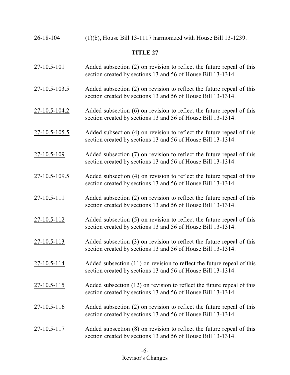| 26-18-104 |  | $(1)(b)$ , House Bill 13-1117 harmonized with House Bill 13-1239. |  |
|-----------|--|-------------------------------------------------------------------|--|

- 27-10.5-101 Added subsection (2) on revision to reflect the future repeal of this section created by sections 13 and 56 of House Bill 13-1314.
- 27-10.5-103.5 Added subsection (2) on revision to reflect the future repeal of this section created by sections 13 and 56 of House Bill 13-1314.
- 27-10.5-104.2 Added subsection (6) on revision to reflect the future repeal of this section created by sections 13 and 56 of House Bill 13-1314.
- 27-10.5-105.5 Added subsection (4) on revision to reflect the future repeal of this section created by sections 13 and 56 of House Bill 13-1314.
- 27-10.5-109 Added subsection (7) on revision to reflect the future repeal of this section created by sections 13 and 56 of House Bill 13-1314.
- 27-10.5-109.5 Added subsection (4) on revision to reflect the future repeal of this section created by sections 13 and 56 of House Bill 13-1314.
- 27-10.5-111 Added subsection (2) on revision to reflect the future repeal of this section created by sections 13 and 56 of House Bill 13-1314.
- 27-10.5-112 Added subsection (5) on revision to reflect the future repeal of this section created by sections 13 and 56 of House Bill 13-1314.
- 27-10.5-113 Added subsection (3) on revision to reflect the future repeal of this section created by sections 13 and 56 of House Bill 13-1314.
- 27-10.5-114 Added subsection (11) on revision to reflect the future repeal of this section created by sections 13 and 56 of House Bill 13-1314.
- 27-10.5-115 Added subsection (12) on revision to reflect the future repeal of this section created by sections 13 and 56 of House Bill 13-1314.
- 27-10.5-116 Added subsection (2) on revision to reflect the future repeal of this section created by sections 13 and 56 of House Bill 13-1314.
- 27-10.5-117 Added subsection (8) on revision to reflect the future repeal of this section created by sections 13 and 56 of House Bill 13-1314.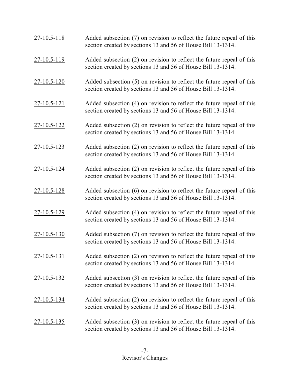| 27-10.5-118       | Added subsection (7) on revision to reflect the future repeal of this<br>section created by sections 13 and 56 of House Bill 13-1314. |
|-------------------|---------------------------------------------------------------------------------------------------------------------------------------|
| $27 - 10.5 - 119$ | Added subsection (2) on revision to reflect the future repeal of this<br>section created by sections 13 and 56 of House Bill 13-1314. |
| $27 - 10.5 - 120$ | Added subsection (5) on revision to reflect the future repeal of this<br>section created by sections 13 and 56 of House Bill 13-1314. |
| 27-10.5-121       | Added subsection (4) on revision to reflect the future repeal of this<br>section created by sections 13 and 56 of House Bill 13-1314. |
| $27 - 10.5 - 122$ | Added subsection (2) on revision to reflect the future repeal of this<br>section created by sections 13 and 56 of House Bill 13-1314. |
| $27 - 10.5 - 123$ | Added subsection (2) on revision to reflect the future repeal of this<br>section created by sections 13 and 56 of House Bill 13-1314. |
| $27 - 10.5 - 124$ | Added subsection (2) on revision to reflect the future repeal of this<br>section created by sections 13 and 56 of House Bill 13-1314. |
| $27 - 10.5 - 128$ | Added subsection (6) on revision to reflect the future repeal of this<br>section created by sections 13 and 56 of House Bill 13-1314. |
| $27 - 10.5 - 129$ | Added subsection (4) on revision to reflect the future repeal of this<br>section created by sections 13 and 56 of House Bill 13-1314. |
| 27-10.5-130       | Added subsection (7) on revision to reflect the future repeal of this<br>section created by sections 13 and 56 of House Bill 13-1314. |
| 27-10.5-131       | Added subsection (2) on revision to reflect the future repeal of this<br>section created by sections 13 and 56 of House Bill 13-1314. |
| $27 - 10.5 - 132$ | Added subsection (3) on revision to reflect the future repeal of this<br>section created by sections 13 and 56 of House Bill 13-1314. |
| $27 - 10.5 - 134$ | Added subsection (2) on revision to reflect the future repeal of this<br>section created by sections 13 and 56 of House Bill 13-1314. |
| 27-10.5-135       | Added subsection (3) on revision to reflect the future repeal of this<br>section created by sections 13 and 56 of House Bill 13-1314. |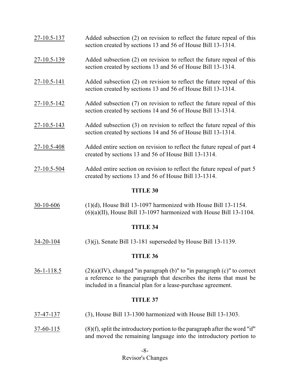| <u>27-10.5-137</u> | Added subsection (2) on revision to reflect the future repeal of this<br>section created by sections 13 and 56 of House Bill 13-1314.                                                                                  |  |  |  |
|--------------------|------------------------------------------------------------------------------------------------------------------------------------------------------------------------------------------------------------------------|--|--|--|
| $27 - 10.5 - 139$  | Added subsection (2) on revision to reflect the future repeal of this<br>section created by sections 13 and 56 of House Bill 13-1314.                                                                                  |  |  |  |
| 27-10.5-141        | Added subsection (2) on revision to reflect the future repeal of this<br>section created by sections 13 and 56 of House Bill 13-1314.                                                                                  |  |  |  |
| $27 - 10.5 - 142$  | Added subsection (7) on revision to reflect the future repeal of this<br>section created by sections 14 and 56 of House Bill 13-1314.                                                                                  |  |  |  |
| 27-10.5-143        | Added subsection (3) on revision to reflect the future repeal of this<br>section created by sections 14 and 56 of House Bill 13-1314.                                                                                  |  |  |  |
| $27 - 10.5 - 408$  | Added entire section on revision to reflect the future repeal of part 4<br>created by sections 13 and 56 of House Bill 13-1314.                                                                                        |  |  |  |
| $27 - 10.5 - 504$  | Added entire section on revision to reflect the future repeal of part 5<br>created by sections 13 and 56 of House Bill 13-1314.                                                                                        |  |  |  |
|                    | <b>TITLE 30</b>                                                                                                                                                                                                        |  |  |  |
| 30-10-606          | $(1)(d)$ , House Bill 13-1097 harmonized with House Bill 13-1154.<br>$(6)(a)(II)$ , House Bill 13-1097 harmonized with House Bill 13-1104.                                                                             |  |  |  |
| <b>TITLE 34</b>    |                                                                                                                                                                                                                        |  |  |  |
| <u>34-20-104</u>   | $(3)(j)$ , Senate Bill 13-181 superseded by House Bill 13-1139.                                                                                                                                                        |  |  |  |
| <b>TITLE 36</b>    |                                                                                                                                                                                                                        |  |  |  |
| $36-1-118.5$       | $(2)(a)(IV)$ , changed "in paragraph $(b)$ " to "in paragraph $(c)$ " to correct<br>a reference to the paragraph that describes the items that must be<br>included in a financial plan for a lease-purchase agreement. |  |  |  |
| <b>TITLE 37</b>    |                                                                                                                                                                                                                        |  |  |  |

- 37-47-137 (3), House Bill 13-1300 harmonized with House Bill 13-1303.
- $37-60-115$  (8)(f), split the introductory portion to the paragraph after the word "if" and moved the remaining language into the introductory portion to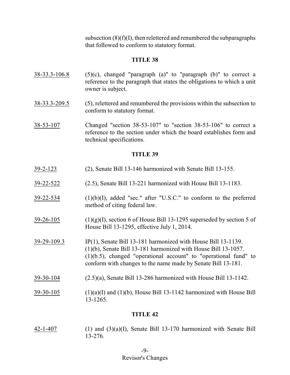subsection  $(8)(f)(I)$ , then relettered and renumbered the subparagraphs that followed to conform to statutory format.

#### **TITLE 38**

- $38-33.3-106.8$  (5)(c), changed "paragraph (a)" to "paragraph (b)" to correct a reference to the paragraph that states the obligations to which a unit owner is subject.
- 38-33.3-209.5 (5), relettered and renumbered the provisions within the subsection to conform to statutory format.
- 38-53-107 Changed "section 38-53-107" to "section 38-53-106" to correct a reference to the section under which the board establishes form and technical specifications.

#### **TITLE 39**

- 39-2-123 (2), Senate Bill 13-146 harmonized with Senate Bill 13-155.
- 39-22-522 (2.5), Senate Bill 13-221 harmonized with House Bill 13-1183.
- $39-22-534$  (1)(b)(I), added "sec." after "U.S.C." to conform to the preferred method of citing federal law.
- $39-26-105$  (1)(g)(I), section 6 of House Bill 13-1295 superseded by section 5 of House Bill 13-1295, effective July 1, 2014.
- 39-29-109.3 IP(1), Senate Bill 13-181 harmonized with House Bill 13-1139. (1)(b), Senate Bill 13-181 harmonized with House Bill 13-1057. (1)(b.5), changed "operational account" to "operational fund" to conform with changes to the name made by Senate Bill 13-181.
- 39-30-104 (2.5)(a), Senate Bill 13-286 harmonized with House Bill 13-1142.
- $39-30-105$  (1)(a)(I) and (1)(b), House Bill 13-1142 harmonized with House Bill 13-1265.

## **TITLE 42**

42-1-407 (1) and (3)(a)(I), Senate Bill 13-170 harmonized with Senate Bill 13-276.

## Revisor's Changes